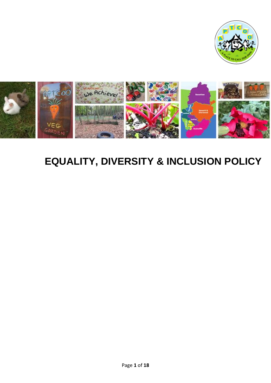



# **EQUALITY, DIVERSITY & INCLUSION POLICY**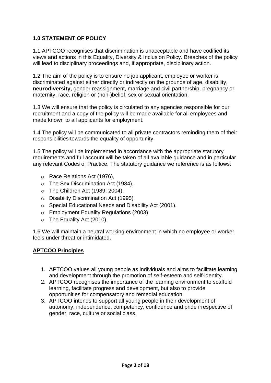#### **1.0 STATEMENT OF POLICY**

1.1 APTCOO recognises that discrimination is unacceptable and have codified its views and actions in this Equality, Diversity & Inclusion Policy. Breaches of the policy will lead to disciplinary proceedings and, if appropriate, disciplinary action.

1.2 The aim of the policy is to ensure no job applicant, employee or worker is discriminated against either directly or indirectly on the grounds of age, disability, **neurodiversity,** gender reassignment, marriage and civil partnership, pregnancy or maternity, race, religion or (non-)belief, sex or sexual orientation.

1.3 We will ensure that the policy is circulated to any agencies responsible for our recruitment and a copy of the policy will be made available for all employees and made known to all applicants for employment.

1.4 The policy will be communicated to all private contractors reminding them of their responsibilities towards the equality of opportunity.

1.5 The policy will be implemented in accordance with the appropriate statutory requirements and full account will be taken of all available guidance and in particular any relevant Codes of Practice. The statutory guidance we reference is as follows:

- o Race Relations Act (1976),
- o The Sex Discrimination Act (1984),
- o The Children Act (1989; 2004),
- o Disability Discrimination Act (1995)
- o Special Educational Needs and Disability Act (2001),
- o Employment Equality Regulations (2003).
- o The Equality Act (2010),

1.6 We will maintain a neutral working environment in which no employee or worker feels under threat or intimidated.

#### **APTCOO Principles**

- 1. APTCOO values all young people as individuals and aims to facilitate learning and development through the promotion of self-esteem and self-identity.
- 2. APTCOO recognises the importance of the learning environment to scaffold learning, facilitate progress and development, but also to provide opportunities for compensatory and remedial education.
- 3. APTCOO intends to support all young people in their development of autonomy, independence, competency, confidence and pride irrespective of gender, race, culture or social class.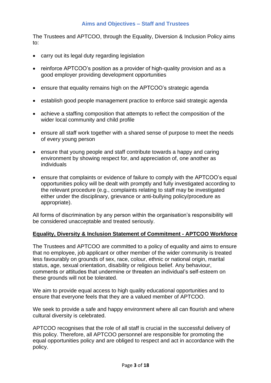#### **Aims and Objectives – Staff and Trustees**

The Trustees and APTCOO, through the Equality, Diversion & Inclusion Policy aims to:

- carry out its legal duty regarding legislation
- reinforce APTCOO's position as a provider of high-quality provision and as a good employer providing development opportunities
- ensure that equality remains high on the APTCOO's strategic agenda
- establish good people management practice to enforce said strategic agenda
- achieve a staffing composition that attempts to reflect the composition of the wider local community and child profile
- ensure all staff work together with a shared sense of purpose to meet the needs of every young person
- ensure that young people and staff contribute towards a happy and caring environment by showing respect for, and appreciation of, one another as individuals
- ensure that complaints or evidence of failure to comply with the APTCOO's equal opportunities policy will be dealt with promptly and fully investigated according to the relevant procedure (e.g., complaints relating to staff may be investigated either under the disciplinary, grievance or anti-bullying policy/procedure as appropriate).

All forms of discrimination by any person within the organisation's responsibility will be considered unacceptable and treated seriously.

#### **Equality, Diversity & Inclusion Statement of Commitment - APTCOO Workforce**

The Trustees and APTCOO are committed to a policy of equality and aims to ensure that no employee, job applicant or other member of the wider community is treated less favourably on grounds of sex, race, colour, ethnic or national origin, marital status, age, sexual orientation, disability or religious belief. Any behaviour, comments or attitudes that undermine or threaten an individual's self-esteem on these grounds will not be tolerated.

We aim to provide equal access to high quality educational opportunities and to ensure that everyone feels that they are a valued member of APTCOO.

We seek to provide a safe and happy environment where all can flourish and where cultural diversity is celebrated.

APTCOO recognises that the role of all staff is crucial in the successful delivery of this policy. Therefore, all APTCOO personnel are responsible for promoting the equal opportunities policy and are obliged to respect and act in accordance with the policy.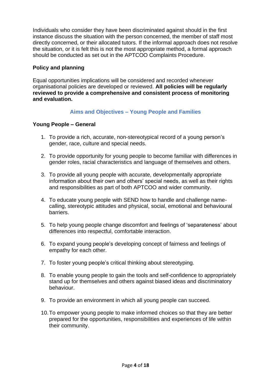Individuals who consider they have been discriminated against should in the first instance discuss the situation with the person concerned, the member of staff most directly concerned, or their allocated tutors. If the informal approach does not resolve the situation, or it is felt this is not the most appropriate method, a formal approach should be conducted as set out in the APTCOO Complaints Procedure.

#### **Policy and planning**

Equal opportunities implications will be considered and recorded whenever organisational policies are developed or reviewed. **All policies will be regularly reviewed to provide a comprehensive and consistent process of monitoring and evaluation.** 

#### **Aims and Objectives – Young People and Families**

#### **Young People – General**

- 1. To provide a rich, accurate, non-stereotypical record of a young person's gender, race, culture and special needs.
- 2. To provide opportunity for young people to become familiar with differences in gender roles, racial characteristics and language of themselves and others.
- 3. To provide all young people with accurate, developmentally appropriate information about their own and others' special needs, as well as their rights and responsibilities as part of both APTCOO and wider community.
- 4. To educate young people with SEND how to handle and challenge namecalling, stereotypic attitudes and physical, social, emotional and behavioural barriers.
- 5. To help young people change discomfort and feelings of 'separateness' about differences into respectful, comfortable interaction.
- 6. To expand young people's developing concept of fairness and feelings of empathy for each other.
- 7. To foster young people's critical thinking about stereotyping.
- 8. To enable young people to gain the tools and self-confidence to appropriately stand up for themselves and others against biased ideas and discriminatory behaviour.
- 9. To provide an environment in which all young people can succeed.
- 10.To empower young people to make informed choices so that they are better prepared for the opportunities, responsibilities and experiences of life within their community.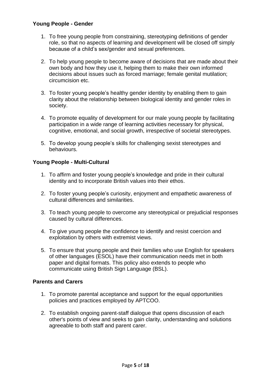#### **Young People - Gender**

- 1. To free young people from constraining, stereotyping definitions of gender role, so that no aspects of learning and development will be closed off simply because of a child's sex/gender and sexual preferences.
- 2. To help young people to become aware of decisions that are made about their own body and how they use it, helping them to make their own informed decisions about issues such as forced marriage; female genital mutilation; circumcision etc.
- 3. To foster young people's healthy gender identity by enabling them to gain clarity about the relationship between biological identity and gender roles in society.
- 4. To promote equality of development for our male young people by facilitating participation in a wide range of learning activities necessary for physical, cognitive, emotional, and social growth, irrespective of societal stereotypes.
- 5. To develop young people's skills for challenging sexist stereotypes and behaviours.

#### **Young People - Multi-Cultural**

- 1. To affirm and foster young people's knowledge and pride in their cultural identity and to incorporate British values into their ethos.
- 2. To foster young people's curiosity, enjoyment and empathetic awareness of cultural differences and similarities.
- 3. To teach young people to overcome any stereotypical or prejudicial responses caused by cultural differences.
- 4. To give young people the confidence to identify and resist coercion and exploitation by others with extremist views.
- 5. To ensure that young people and their families who use English for speakers of other languages (ESOL) have their communication needs met in both paper and digital formats. This policy also extends to people who communicate using British Sign Language (BSL).

#### **Parents and Carers**

- 1. To promote parental acceptance and support for the equal opportunities policies and practices employed by APTCOO.
- 2. To establish ongoing parent-staff dialogue that opens discussion of each other's points of view and seeks to gain clarity, understanding and solutions agreeable to both staff and parent carer.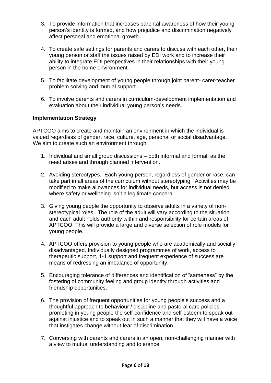- 3. To provide information that increases parental awareness of how their young person's identity is formed, and how prejudice and discrimination negatively affect personal and emotional growth.
- 4. To create safe settings for parents and carers to discuss with each other, their young person or staff the issues raised by EDI work and to increase their ability to integrate EDI perspectives in their relationships with their young person in the home environment.
- 5. To facilitate development of young people through joint parent- carer-teacher problem solving and mutual support.
- 6. To involve parents and carers in curriculum-development implementation and evaluation about their individual young person's needs.

#### **Implementation Strategy**

APTCOO aims to create and maintain an environment in which the individual is valued regardless of gender, race, culture, age, personal or social disadvantage. We aim to create such an environment through:

- 1. Individual and small group discussions both informal and formal, as the need arises and through planned intervention.
- 2. Avoiding stereotypes. Each young person, regardless of gender or race, can take part in all areas of the curriculum without stereotyping. Activities may be modified to make allowances for individual needs, but access is not denied where safety or wellbeing isn't a legitimate concern.
- 3. Giving young people the opportunity to observe adults in a variety of nonstereotypical roles. The role of the adult will vary according to the situation and each adult holds authority within and responsibility for certain areas of APTCOO. This will provide a large and diverse selection of role models for young people.
- 4. APTCOO offers provision to young people who are academically and socially disadvantaged. Individually designed programmes of work, access to therapeutic support, 1-1 support and frequent experience of success are means of redressing an imbalance of opportunity.
- 5. Encouraging tolerance of differences and identification of "sameness" by the fostering of community feeling and group identity through activities and friendship opportunities.
- 6. The provision of frequent opportunities for young people's success and a thoughtful approach to behaviour / discipline and pastoral care policies, promoting in young people the self-confidence and self-esteem to speak out against injustice and to speak out in such a manner that they will have a voice that instigates change without fear of discrimination.
- 7. Conversing with parents and carers in an open, non-challenging manner with a view to mutual understanding and tolerance.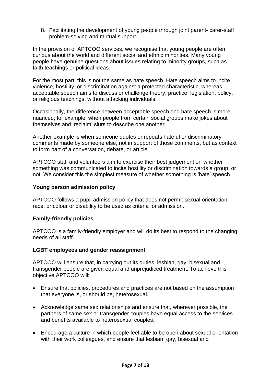8. Facilitating the development of young people through joint parent- carer-staff problem-solving and mutual support.

In the provision of APTCOO services, we recognise that young people are often curious about the world and different social and ethnic minorities. Many young people have genuine questions about issues relating to minority groups, such as faith teachings or political ideas.

For the most part, this is not the same as hate speech. Hate speech aims to incite violence, hostility, or discrimination against a protected characteristic, whereas acceptable speech aims to discuss or challenge theory, practice, legislation, policy, or religious teachings, without attacking individuals.

Occasionally, the difference between acceptable speech and hate speech is more nuanced; for example, when people from certain social groups make jokes about themselves and 'reclaim' slurs to describe one another.

Another example is when someone quotes or repeats hateful or discriminatory comments made by someone else, not in support of those comments, but as context to form part of a conversation, debate, or article.

APTCOO staff and volunteers aim to exercise their best judgement on whether something was communicated to incite hostility or discrimination towards a group, or not. We consider this the simplest measure of whether something is 'hate' speech.

#### **Young person admission policy**

APTCOO follows a pupil admission policy that does not permit sexual orientation, race, or colour or disability to be used as criteria for admission.

#### **Family-friendly policies**

APTCOO is a family-friendly employer and will do its best to respond to the changing needs of all staff.

#### **LGBT employees and gender reassignment**

APTCOO will ensure that, in carrying out its duties, lesbian, gay, bisexual and transgender people are given equal and unprejudiced treatment. To achieve this objective APTCOO will:

- Ensure that policies, procedures and practices are not based on the assumption that everyone is, or should be, heterosexual.
- Acknowledge same sex relationships and ensure that, wherever possible, the partners of same sex or transgender couples have equal access to the services and benefits available to heterosexual couples.
- Encourage a culture in which people feel able to be open about sexual orientation with their work colleagues, and ensure that lesbian, gay, bisexual and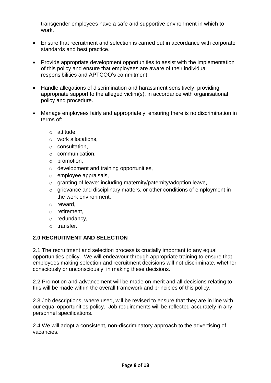transgender employees have a safe and supportive environment in which to work.

- Ensure that recruitment and selection is carried out in accordance with corporate standards and best practice.
- Provide appropriate development opportunities to assist with the implementation of this policy and ensure that employees are aware of their individual responsibilities and APTCOO's commitment.
- Handle allegations of discrimination and harassment sensitively, providing appropriate support to the alleged victim(s), in accordance with organisational policy and procedure.
- Manage employees fairly and appropriately, ensuring there is no discrimination in terms of:
	- o attitude,
	- o work allocations,
	- o consultation,
	- o communication,
	- o promotion,
	- $\circ$  development and training opportunities,
	- o employee appraisals,
	- o granting of leave: including maternity/paternity/adoption leave,
	- o grievance and disciplinary matters, or other conditions of employment in the work environment,
	- o reward,
	- o retirement,
	- o redundancy,
	- o transfer.

#### **2.0 RECRUITMENT AND SELECTION**

2.1 The recruitment and selection process is crucially important to any equal opportunities policy. We will endeavour through appropriate training to ensure that employees making selection and recruitment decisions will not discriminate, whether consciously or unconsciously, in making these decisions.

2.2 Promotion and advancement will be made on merit and all decisions relating to this will be made within the overall framework and principles of this policy.

2.3 Job descriptions, where used, will be revised to ensure that they are in line with our equal opportunities policy. Job requirements will be reflected accurately in any personnel specifications.

2.4 We will adopt a consistent, non-discriminatory approach to the advertising of vacancies.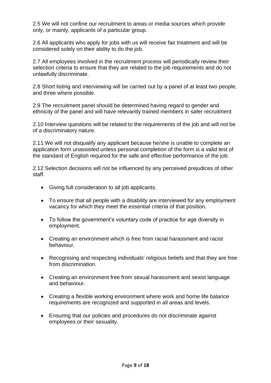2.5 We will not confine our recruitment to areas or media sources which provide only, or mainly, applicants of a particular group.

2.6 All applicants who apply for jobs with us will receive fair treatment and will be considered solely on their ability to do the job.

2.7 All employees involved in the recruitment process will periodically review their selection criteria to ensure that they are related to the job requirements and do not unlawfully discriminate.

2.8 Short listing and interviewing will be carried out by a panel of at least two people, and three where possible.

2.9 The recruitment panel should be determined having regard to gender and ethnicity of the panel and will have relevantly trained members in safer recruitment

2.10 Interview questions will be related to the requirements of the job and will not be of a discriminatory nature.

2.11 We will not disqualify any applicant because he/she is unable to complete an application form unassisted unless personal completion of the form is a valid test of the standard of English required for the safe and effective performance of the job.

2.12 Selection decisions will not be influenced by any perceived prejudices of other staff.

- Giving full consideration to all job applicants.
- To ensure that all people with a disability are interviewed for any employment vacancy for which they meet the essential criteria of that position.
- To follow the government's voluntary code of practice for age diversity in employment.
- Creating an environment which is free from racial harassment and racist behaviour.
- Recognising and respecting individuals' religious beliefs and that they are free from discrimination.
- Creating an environment free from sexual harassment and sexist language and behaviour.
- Creating a flexible working environment where work and home life balance requirements are recognized and supported in all areas and levels.
- Ensuring that our policies and procedures do not discriminate against employees or their sexuality.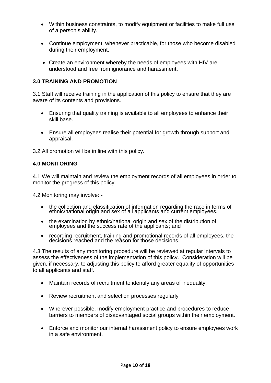- Within business constraints, to modify equipment or facilities to make full use of a person's ability.
- Continue employment, whenever practicable, for those who become disabled during their employment.
- Create an environment whereby the needs of employees with HIV are understood and free from ignorance and harassment.

#### **3.0 TRAINING AND PROMOTION**

3.1 Staff will receive training in the application of this policy to ensure that they are aware of its contents and provisions.

- Ensuring that quality training is available to all employees to enhance their skill base.
- Ensure all employees realise their potential for growth through support and appraisal.

3.2 All promotion will be in line with this policy.

#### **4.0 MONITORING**

4.1 We will maintain and review the employment records of all employees in order to monitor the progress of this policy.

4.2 Monitoring may involve: -

- the collection and classification of information regarding the race in terms of ethnic/national origin and sex of all applicants and current employees.
- the examination by ethnic/national origin and sex of the distribution of employees and the success rate of the applicants; and
- recording recruitment, training and promotional records of all employees, the decisions reached and the reason for those decisions.

4.3 The results of any monitoring procedure will be reviewed at regular intervals to assess the effectiveness of the implementation of this policy. Consideration will be given, if necessary, to adjusting this policy to afford greater equality of opportunities to all applicants and staff.

- Maintain records of recruitment to identify any areas of inequality.
- Review recruitment and selection processes regularly
- Wherever possible, modify employment practice and procedures to reduce barriers to members of disadvantaged social groups within their employment.
- Enforce and monitor our internal harassment policy to ensure employees work in a safe environment.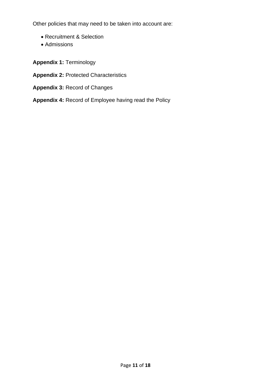Other policies that may need to be taken into account are:

- Recruitment & Selection
- Admissions
- **Appendix 1:** Terminology
- **Appendix 2:** Protected Characteristics
- **Appendix 3:** Record of Changes
- **Appendix 4:** Record of Employee having read the Policy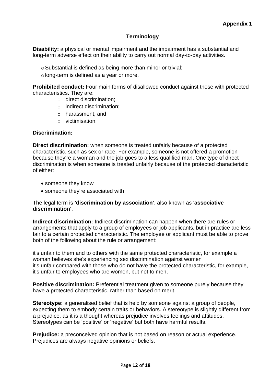#### **Terminology**

**Disability:** a physical or mental impairment and the impairment has a substantial and long-term adverse effect on their ability to carry out normal day-to-day activities.

- $\circ$  Substantial is defined as being more than minor or trivial:
- olong-term is defined as a year or more.

**Prohibited conduct:** Four main forms of disallowed conduct against those with protected characteristics. They are:

- o direct discrimination;
- o indirect discrimination;
- o harassment; and
- o victimisation.

#### **Discrimination:**

**Direct discrimination:** when someone is treated unfairly because of a protected characteristic, such as sex or race. For example, someone is not offered a promotion because they're a woman and the job goes to a less qualified man. One type of direct discrimination is when someone is treated unfairly because of the protected characteristic of either:

- someone they know
- someone they're associated with

#### The legal term is **'discrimination by association'**, also known as '**associative discrimination'**.

**Indirect discrimination:** Indirect discrimination can happen when there are rules or arrangements that apply to a group of employees or job applicants, but in practice are less fair to a certain protected characteristic. The employee or applicant must be able to prove both of the following about the rule or arrangement:

it's unfair to them and to others with the same protected characteristic, for example a woman believes she's experiencing sex discrimination against women it's unfair compared with those who do not have the protected characteristic, for example, it's unfair to employees who are women, but not to men.

**Positive discrimination:** Preferential treatment given to someone purely because they have a protected characteristic, rather than based on merit.

**Stereotype:** a generalised belief that is held by someone against a group of people, expecting them to embody certain traits or behaviors. A stereotype is slightly different from a prejudice, as it is a thought whereas prejudice involves feelings and attitudes. Stereotypes can be 'positive' or 'negative' but both have harmful results.

**Prejudice:** a preconceived opinion that is not based on reason or actual experience. Prejudices are always negative opinions or beliefs.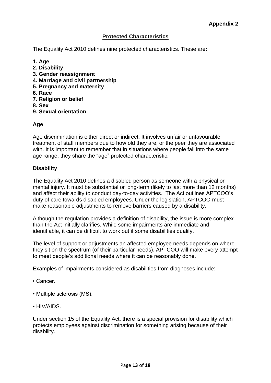#### **Protected Characteristics**

The Equality Act 2010 defines nine protected characteristics. These are**:**

- **1. Age**
- **2. Disability**
- **3. Gender reassignment**
- **4. Marriage and civil partnership**
- **5. Pregnancy and maternity**
- **6. Race**
- **7. Religion or belief**
- **8. Sex**
- **9. Sexual orientation**

#### **Age**

Age discrimination is either direct or indirect. It involves unfair or unfavourable treatment of staff members due to how old they are, or the peer they are associated with. It is important to remember that in situations where people fall into the same age range, they share the "age" protected characteristic.

#### **Disability**

The Equality Act 2010 defines a disabled person as someone with a physical or mental injury. It must be substantial or long-term (likely to last more than 12 months) and affect their ability to conduct day-to-day activities. The Act outlines APTCOO's duty of care towards disabled employees. Under the legislation, APTCOO must make reasonable adjustments to remove barriers caused by a disability.

Although the regulation provides a definition of disability, the issue is more complex than the Act initially clarifies. While some impairments are immediate and identifiable, it can be difficult to work out if some disabilities qualify.

The level of support or adjustments an affected employee needs depends on where they sit on the spectrum (of their particular needs). APTCOO will make every attempt to meet people's additional needs where it can be reasonably done.

Examples of impairments considered as disabilities from diagnoses include:

- Cancer.
- Multiple sclerosis (MS).
- HIV/AIDS.

Under section 15 of the Equality Act, there is a special provision for disability which protects employees against discrimination for something arising because of their disability.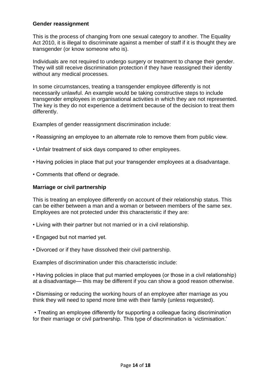#### **Gender reassignment**

This is the process of changing from one sexual category to another. The Equality Act 2010, it is illegal to discriminate against a member of staff if it is thought they are transgender (or know someone who is).

Individuals are not required to undergo surgery or treatment to change their gender. They will still receive discrimination protection if they have reassigned their identity without any medical processes.

In some circumstances, treating a transgender employee differently is not necessarily unlawful. An example would be taking constructive steps to include transgender employees in organisational activities in which they are not represented. The key is they do not experience a detriment because of the decision to treat them differently.

Examples of gender reassignment discrimination include:

- Reassigning an employee to an alternate role to remove them from public view.
- Unfair treatment of sick days compared to other employees.
- Having policies in place that put your transgender employees at a disadvantage.
- Comments that offend or degrade.

#### **Marriage or civil partnership**

This is treating an employee differently on account of their relationship status. This can be either between a man and a woman or between members of the same sex. Employees are not protected under this characteristic if they are:

- Living with their partner but not married or in a civil relationship.
- Engaged but not married yet.
- Divorced or if they have dissolved their civil partnership.

Examples of discrimination under this characteristic include:

• Having policies in place that put married employees (or those in a civil relationship) at a disadvantage— this may be different if you can show a good reason otherwise.

• Dismissing or reducing the working hours of an employee after marriage as you think they will need to spend more time with their family (unless requested).

• Treating an employee differently for supporting a colleague facing discrimination for their marriage or civil partnership. This type of discrimination is 'victimisation.'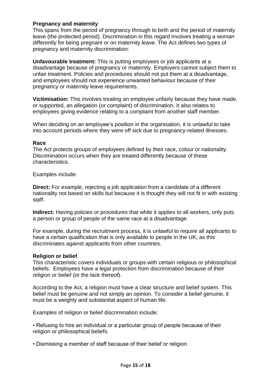#### **Pregnancy and maternity**

This spans from the period of pregnancy through to birth and the period of maternity leave (the protected period). Discrimination in this regard involves treating a woman differently for being pregnant or on maternity leave. The Act defines two types of pregnancy and maternity discrimination:

**Unfavourable treatment:** This is putting employees or job applicants at a disadvantage because of pregnancy or maternity. Employers cannot subject them to unfair treatment. Policies and procedures should not put them at a disadvantage, and employees should not experience unwanted behaviour because of their pregnancy or maternity leave requirements.

**Victimisation:** This involves treating an employee unfairly because they have made, or supported, an allegation (or complaint) of discrimination. It also relates to employees giving evidence relating to a complaint from another staff member.

When deciding on an employee's position in the organisation, it is unlawful to take into account periods where they were off sick due to pregnancy-related illnesses.

#### **Race**

The Act protects groups of employees defined by their race, colour or nationality. Discrimination occurs when they are treated differently because of these characteristics.

Examples include:

**Direct:** For example, rejecting a job application from a candidate of a different nationality not based on skills but because it is thought they will not fit in with existing staff.

**Indirect:** Having policies or procedures that while it applies to all workers, only puts a person or group of people of the same race at a disadvantage.

For example, during the recruitment process, it is unlawful to require all applicants to have a certain qualification that is only available to people in the UK, as this discriminates against applicants from other countries.

#### **Religion or belief**

This characteristic covers individuals or groups with certain religious or philosophical beliefs. Employees have a legal protection from discrimination because of their religion or belief (or the lack thereof).

According to the Act, a religion must have a clear structure and belief system. This belief must be genuine and not simply an opinion. To consider a belief genuine, it must be a weighty and substantial aspect of human life.

Examples of religion or belief discrimination include:

• Refusing to hire an individual or a particular group of people because of their religion or philosophical beliefs.

• Dismissing a member of staff because of their belief or religion.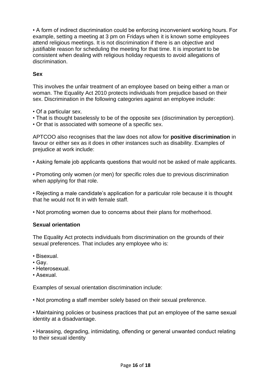• A form of indirect discrimination could be enforcing inconvenient working hours. For example, setting a meeting at 3 pm on Fridays when it is known some employees attend religious meetings. It is not discrimination if there is an objective and justifiable reason for scheduling the meeting for that time. It is important to be consistent when dealing with religious holiday requests to avoid allegations of discrimination.

#### **Sex**

This involves the unfair treatment of an employee based on being either a man or woman. The Equality Act 2010 protects individuals from prejudice based on their sex. Discrimination in the following categories against an employee include:

- Of a particular sex.
- That is thought baselessly to be of the opposite sex (discrimination by perception).
- Or that is associated with someone of a specific sex.

APTCOO also recognises that the law does not allow for **positive discrimination** in favour or either sex as it does in other instances such as disability. Examples of prejudice at work include:

• Asking female job applicants questions that would not be asked of male applicants.

• Promoting only women (or men) for specific roles due to previous discrimination when applying for that role.

• Rejecting a male candidate's application for a particular role because it is thought that he would not fit in with female staff.

• Not promoting women due to concerns about their plans for motherhood.

#### **Sexual orientation**

The Equality Act protects individuals from discrimination on the grounds of their sexual preferences. That includes any employee who is:

- Bisexual.
- Gay.
- Heterosexual.
- Asexual.

Examples of sexual orientation discrimination include:

• Not promoting a staff member solely based on their sexual preference.

• Maintaining policies or business practices that put an employee of the same sexual identity at a disadvantage.

• Harassing, degrading, intimidating, offending or general unwanted conduct relating to their sexual identity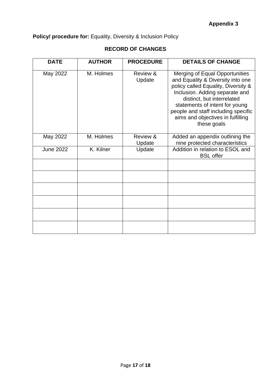## **Policy/ procedure for:** Equality, Diversity & Inclusion Policy

### **RECORD OF CHANGES**

| <b>DATE</b>      | <b>AUTHOR</b> | <b>PROCEDURE</b>   | <b>DETAILS OF CHANGE</b>                                                                                                                                                                                                                                                                                |
|------------------|---------------|--------------------|---------------------------------------------------------------------------------------------------------------------------------------------------------------------------------------------------------------------------------------------------------------------------------------------------------|
| May 2022         | M. Holmes     | Review &<br>Update | Merging of Equal Opportunities<br>and Equality & Diversity into one<br>policy called Equality, Diversity &<br>Inclusion. Adding separate and<br>distinct, but interrelated<br>statements of intent for young<br>people and staff including specific<br>aims and objectives in fulfilling<br>these goals |
| May 2022         | M. Holmes     | Review &<br>Update | Added an appendix outlining the<br>nine protected characteristics                                                                                                                                                                                                                                       |
| <b>June 2022</b> | K. Kilner     | Update             | Addition in relation to ESOL and<br><b>BSL</b> offer                                                                                                                                                                                                                                                    |
|                  |               |                    |                                                                                                                                                                                                                                                                                                         |
|                  |               |                    |                                                                                                                                                                                                                                                                                                         |
|                  |               |                    |                                                                                                                                                                                                                                                                                                         |
|                  |               |                    |                                                                                                                                                                                                                                                                                                         |
|                  |               |                    |                                                                                                                                                                                                                                                                                                         |
|                  |               |                    |                                                                                                                                                                                                                                                                                                         |